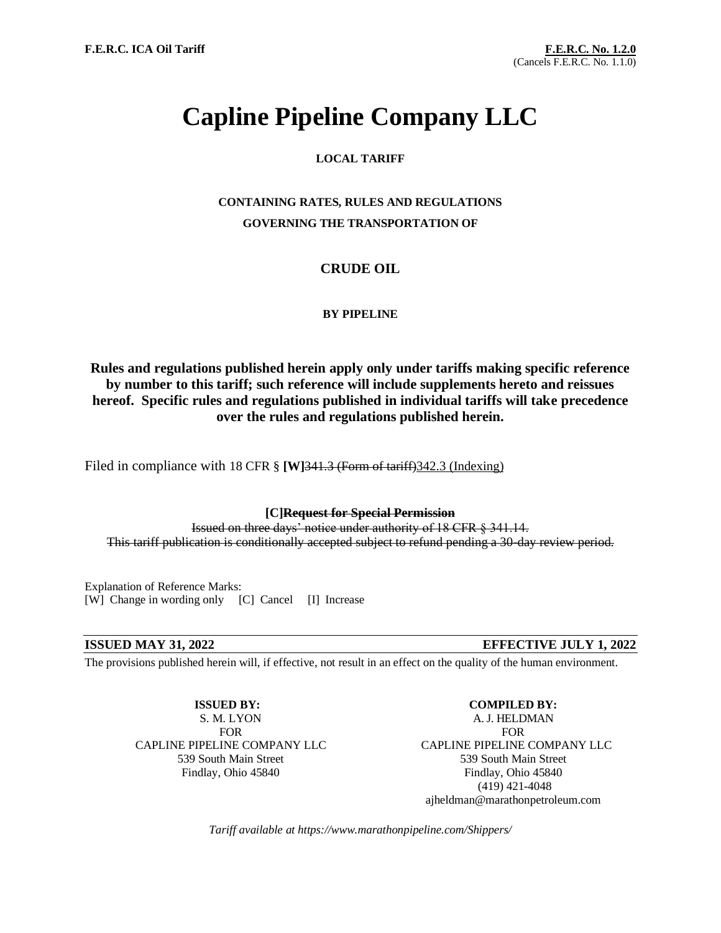# **LOCAL TARIFF**

**CONTAINING RATES, RULES AND REGULATIONS GOVERNING THE TRANSPORTATION OF**

# **CRUDE OIL**

# **BY PIPELINE**

**Rules and regulations published herein apply only under tariffs making specific reference by number to this tariff; such reference will include supplements hereto and reissues hereof. Specific rules and regulations published in individual tariffs will take precedence over the rules and regulations published herein.**

Filed in compliance with 18 CFR § **[W]341.3** (Form of tariff) 342.3 (Indexing)

**[C]Request for Special Permission**

Issued on three days' notice under authority of 18 CFR § 341.14. This tariff publication is conditionally accepted subject to refund pending a 30-day review period.

Explanation of Reference Marks: [W] Change in wording only [C] Cancel [I] Increase

#### **ISSUED MAY 31, 2022 EFFECTIVE JULY 1, 2022**

The provisions published herein will, if effective, not result in an effect on the quality of the human environment.

**ISSUED BY:** S. M. LYON FOR CAPLINE PIPELINE COMPANY LLC 539 South Main Street Findlay, Ohio 45840

**COMPILED BY:** A. J. HELDMAN FOR CAPLINE PIPELINE COMPANY LLC 539 South Main Street Findlay, Ohio 45840 (419) 421-4048 ajheldman@marathonpetroleum.com

*Tariff available at https://www.marathonpipeline.com/Shippers/*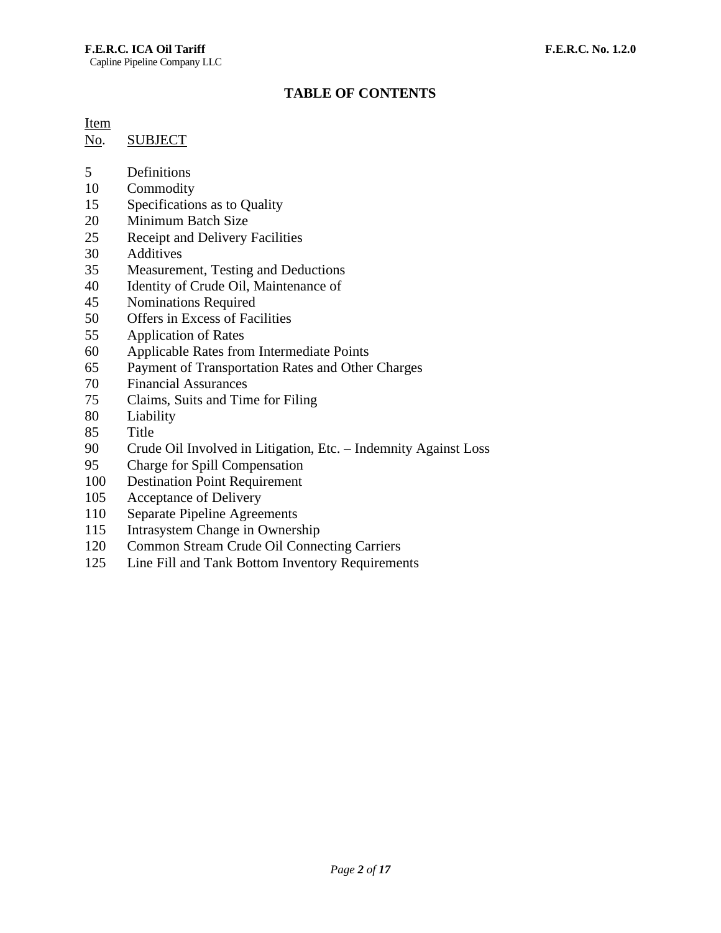# **TABLE OF CONTENTS**

# Item

No. SUBJECT

- Definitions
- Commodity
- Specifications as to Quality
- Minimum Batch Size
- Receipt and Delivery Facilities
- Additives
- Measurement, Testing and Deductions
- Identity of Crude Oil, Maintenance of
- Nominations Required
- Offers in Excess of Facilities
- Application of Rates
- Applicable Rates from Intermediate Points
- Payment of Transportation Rates and Other Charges
- Financial Assurances
- Claims, Suits and Time for Filing
- Liability
- Title
- Crude Oil Involved in Litigation, Etc. Indemnity Against Loss
- Charge for Spill Compensation
- Destination Point Requirement
- Acceptance of Delivery
- Separate Pipeline Agreements
- Intrasystem Change in Ownership
- Common Stream Crude Oil Connecting Carriers
- Line Fill and Tank Bottom Inventory Requirements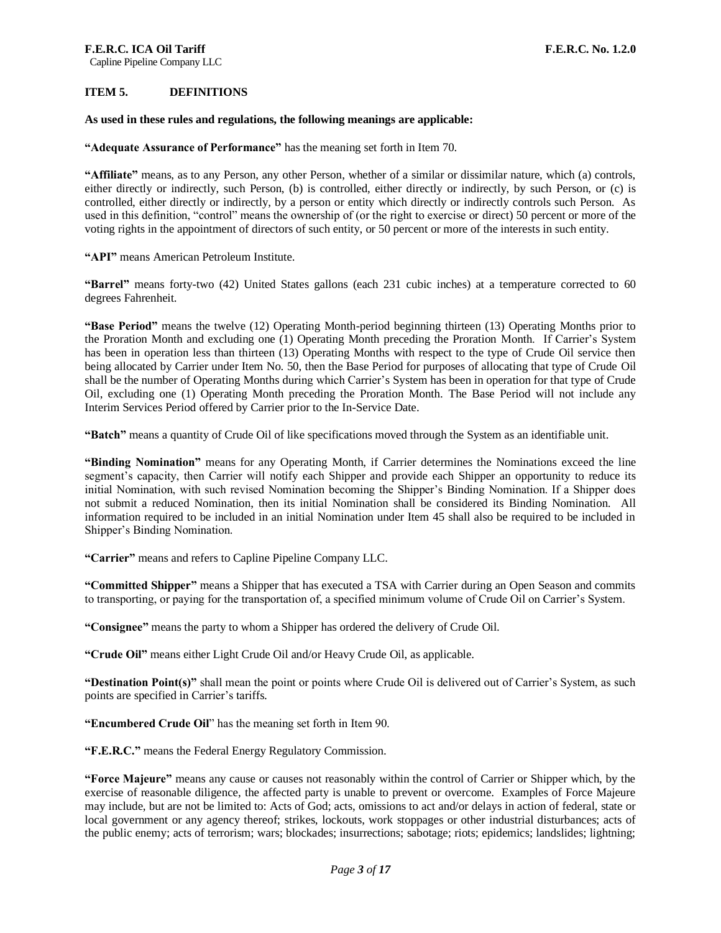#### **ITEM 5. DEFINITIONS**

#### **As used in these rules and regulations, the following meanings are applicable:**

#### **"Adequate Assurance of Performance"** has the meaning set forth in Item 70.

**"Affiliate"** means, as to any Person, any other Person, whether of a similar or dissimilar nature, which (a) controls, either directly or indirectly, such Person, (b) is controlled, either directly or indirectly, by such Person, or (c) is controlled, either directly or indirectly, by a person or entity which directly or indirectly controls such Person. As used in this definition, "control" means the ownership of (or the right to exercise or direct) 50 percent or more of the voting rights in the appointment of directors of such entity, or 50 percent or more of the interests in such entity.

**"API"** means American Petroleum Institute.

**"Barrel"** means forty-two (42) United States gallons (each 231 cubic inches) at a temperature corrected to 60 degrees Fahrenheit.

**"Base Period"** means the twelve (12) Operating Month-period beginning thirteen (13) Operating Months prior to the Proration Month and excluding one (1) Operating Month preceding the Proration Month. If Carrier's System has been in operation less than thirteen (13) Operating Months with respect to the type of Crude Oil service then being allocated by Carrier under Item No. 50, then the Base Period for purposes of allocating that type of Crude Oil shall be the number of Operating Months during which Carrier's System has been in operation for that type of Crude Oil, excluding one (1) Operating Month preceding the Proration Month. The Base Period will not include any Interim Services Period offered by Carrier prior to the In-Service Date.

**"Batch"** means a quantity of Crude Oil of like specifications moved through the System as an identifiable unit.

**"Binding Nomination"** means for any Operating Month, if Carrier determines the Nominations exceed the line segment's capacity, then Carrier will notify each Shipper and provide each Shipper an opportunity to reduce its initial Nomination, with such revised Nomination becoming the Shipper's Binding Nomination. If a Shipper does not submit a reduced Nomination, then its initial Nomination shall be considered its Binding Nomination. All information required to be included in an initial Nomination under Item 45 shall also be required to be included in Shipper's Binding Nomination.

**"Carrier"** means and refers to Capline Pipeline Company LLC.

**"Committed Shipper"** means a Shipper that has executed a TSA with Carrier during an Open Season and commits to transporting, or paying for the transportation of, a specified minimum volume of Crude Oil on Carrier's System.

**"Consignee"** means the party to whom a Shipper has ordered the delivery of Crude Oil.

**"Crude Oil"** means either Light Crude Oil and/or Heavy Crude Oil, as applicable.

**"Destination Point(s)"** shall mean the point or points where Crude Oil is delivered out of Carrier's System, as such points are specified in Carrier's tariffs.

**"Encumbered Crude Oil**" has the meaning set forth in Item 90.

**"F.E.R.C."** means the Federal Energy Regulatory Commission.

**"Force Majeure"** means any cause or causes not reasonably within the control of Carrier or Shipper which, by the exercise of reasonable diligence, the affected party is unable to prevent or overcome. Examples of Force Majeure may include, but are not be limited to: Acts of God; acts, omissions to act and/or delays in action of federal, state or local government or any agency thereof; strikes, lockouts, work stoppages or other industrial disturbances; acts of the public enemy; acts of terrorism; wars; blockades; insurrections; sabotage; riots; epidemics; landslides; lightning;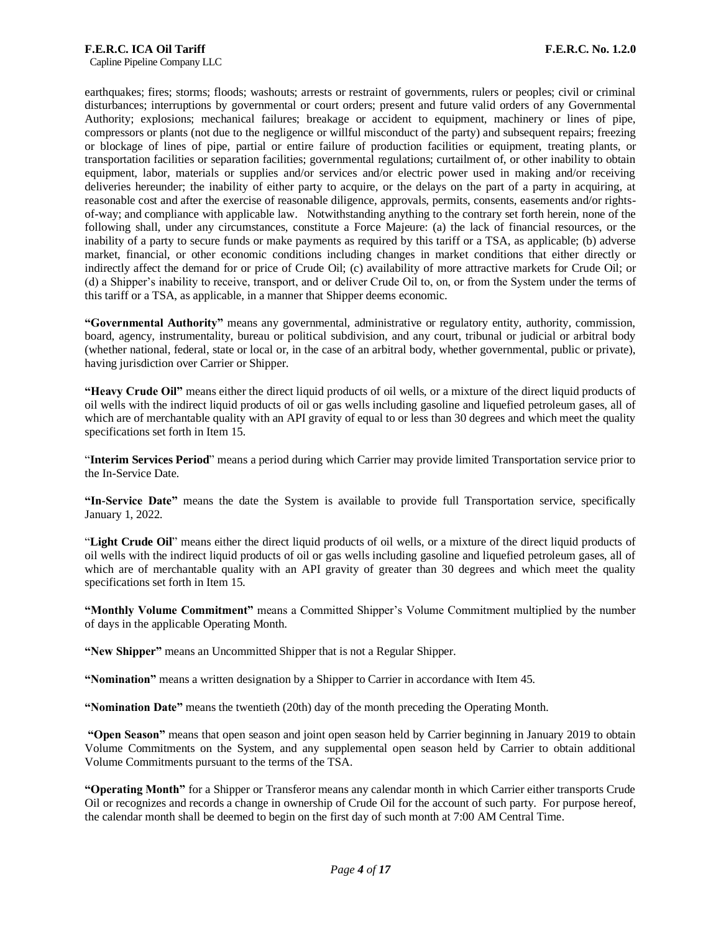earthquakes; fires; storms; floods; washouts; arrests or restraint of governments, rulers or peoples; civil or criminal disturbances; interruptions by governmental or court orders; present and future valid orders of any Governmental Authority; explosions; mechanical failures; breakage or accident to equipment, machinery or lines of pipe, compressors or plants (not due to the negligence or willful misconduct of the party) and subsequent repairs; freezing or blockage of lines of pipe, partial or entire failure of production facilities or equipment, treating plants, or transportation facilities or separation facilities; governmental regulations; curtailment of, or other inability to obtain equipment, labor, materials or supplies and/or services and/or electric power used in making and/or receiving deliveries hereunder; the inability of either party to acquire, or the delays on the part of a party in acquiring, at reasonable cost and after the exercise of reasonable diligence, approvals, permits, consents, easements and/or rightsof-way; and compliance with applicable law. Notwithstanding anything to the contrary set forth herein, none of the following shall, under any circumstances, constitute a Force Majeure: (a) the lack of financial resources, or the inability of a party to secure funds or make payments as required by this tariff or a TSA, as applicable; (b) adverse market, financial, or other economic conditions including changes in market conditions that either directly or indirectly affect the demand for or price of Crude Oil; (c) availability of more attractive markets for Crude Oil; or (d) a Shipper's inability to receive, transport, and or deliver Crude Oil to, on, or from the System under the terms of this tariff or a TSA, as applicable, in a manner that Shipper deems economic.

**"Governmental Authority"** means any governmental, administrative or regulatory entity, authority, commission, board, agency, instrumentality, bureau or political subdivision, and any court, tribunal or judicial or arbitral body (whether national, federal, state or local or, in the case of an arbitral body, whether governmental, public or private), having jurisdiction over Carrier or Shipper.

**"Heavy Crude Oil"** means either the direct liquid products of oil wells, or a mixture of the direct liquid products of oil wells with the indirect liquid products of oil or gas wells including gasoline and liquefied petroleum gases, all of which are of merchantable quality with an API gravity of equal to or less than 30 degrees and which meet the quality specifications set forth in Item 15.

"**Interim Services Period**" means a period during which Carrier may provide limited Transportation service prior to the In-Service Date.

**"In-Service Date"** means the date the System is available to provide full Transportation service, specifically January 1, 2022.

"**Light Crude Oil**" means either the direct liquid products of oil wells, or a mixture of the direct liquid products of oil wells with the indirect liquid products of oil or gas wells including gasoline and liquefied petroleum gases, all of which are of merchantable quality with an API gravity of greater than 30 degrees and which meet the quality specifications set forth in Item 15.

**"Monthly Volume Commitment"** means a Committed Shipper's Volume Commitment multiplied by the number of days in the applicable Operating Month.

**"New Shipper"** means an Uncommitted Shipper that is not a Regular Shipper.

**"Nomination"** means a written designation by a Shipper to Carrier in accordance with Item 45.

**"Nomination Date"** means the twentieth (20th) day of the month preceding the Operating Month.

**"Open Season"** means that open season and joint open season held by Carrier beginning in January 2019 to obtain Volume Commitments on the System, and any supplemental open season held by Carrier to obtain additional Volume Commitments pursuant to the terms of the TSA.

**"Operating Month"** for a Shipper or Transferor means any calendar month in which Carrier either transports Crude Oil or recognizes and records a change in ownership of Crude Oil for the account of such party. For purpose hereof, the calendar month shall be deemed to begin on the first day of such month at 7:00 AM Central Time.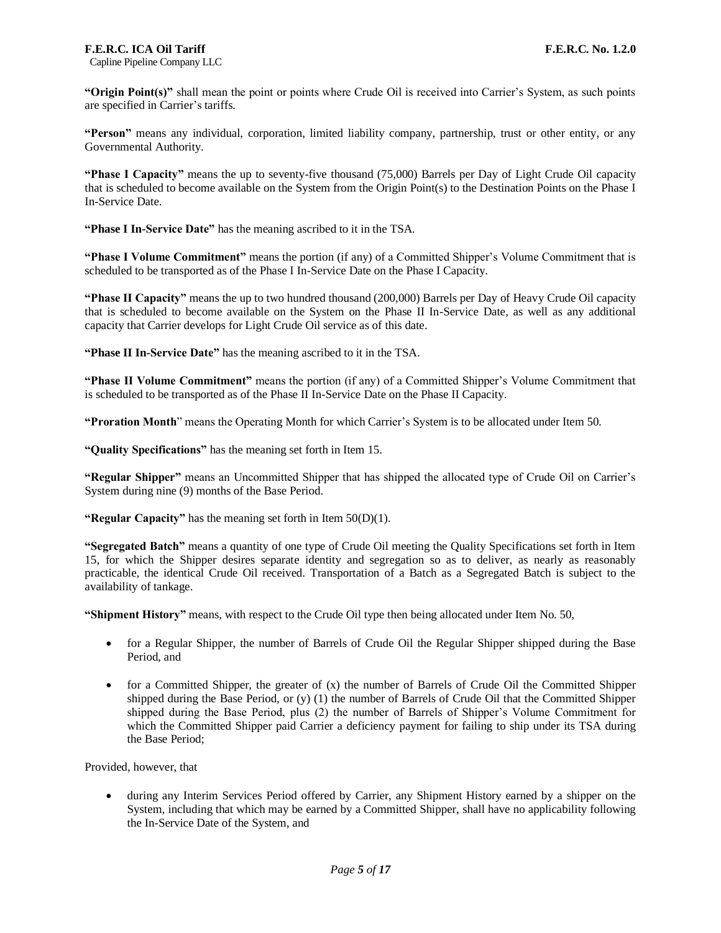**"Origin Point(s)"** shall mean the point or points where Crude Oil is received into Carrier's System, as such points are specified in Carrier's tariffs.

**"Person"** means any individual, corporation, limited liability company, partnership, trust or other entity, or any Governmental Authority.

**"Phase I Capacity"** means the up to seventy-five thousand (75,000) Barrels per Day of Light Crude Oil capacity that is scheduled to become available on the System from the Origin Point(s) to the Destination Points on the Phase I In-Service Date.

**"Phase I In-Service Date"** has the meaning ascribed to it in the TSA.

**"Phase I Volume Commitment"** means the portion (if any) of a Committed Shipper's Volume Commitment that is scheduled to be transported as of the Phase I In-Service Date on the Phase I Capacity.

**"Phase II Capacity"** means the up to two hundred thousand (200,000) Barrels per Day of Heavy Crude Oil capacity that is scheduled to become available on the System on the Phase II In-Service Date, as well as any additional capacity that Carrier develops for Light Crude Oil service as of this date.

**"Phase II In-Service Date"** has the meaning ascribed to it in the TSA.

**"Phase II Volume Commitment"** means the portion (if any) of a Committed Shipper's Volume Commitment that is scheduled to be transported as of the Phase II In-Service Date on the Phase II Capacity.

**"Proration Month**" means the Operating Month for which Carrier's System is to be allocated under Item 50.

**"Quality Specifications"** has the meaning set forth in Item 15.

**"Regular Shipper"** means an Uncommitted Shipper that has shipped the allocated type of Crude Oil on Carrier's System during nine (9) months of the Base Period.

**"Regular Capacity"** has the meaning set forth in Item 50(D)(1).

**"Segregated Batch"** means a quantity of one type of Crude Oil meeting the Quality Specifications set forth in Item 15, for which the Shipper desires separate identity and segregation so as to deliver, as nearly as reasonably practicable, the identical Crude Oil received. Transportation of a Batch as a Segregated Batch is subject to the availability of tankage.

**"Shipment History"** means, with respect to the Crude Oil type then being allocated under Item No. 50,

- for a Regular Shipper, the number of Barrels of Crude Oil the Regular Shipper shipped during the Base Period, and
- for a Committed Shipper, the greater of (x) the number of Barrels of Crude Oil the Committed Shipper shipped during the Base Period, or (y) (1) the number of Barrels of Crude Oil that the Committed Shipper shipped during the Base Period, plus (2) the number of Barrels of Shipper's Volume Commitment for which the Committed Shipper paid Carrier a deficiency payment for failing to ship under its TSA during the Base Period;

Provided, however, that

• during any Interim Services Period offered by Carrier, any Shipment History earned by a shipper on the System, including that which may be earned by a Committed Shipper, shall have no applicability following the In-Service Date of the System, and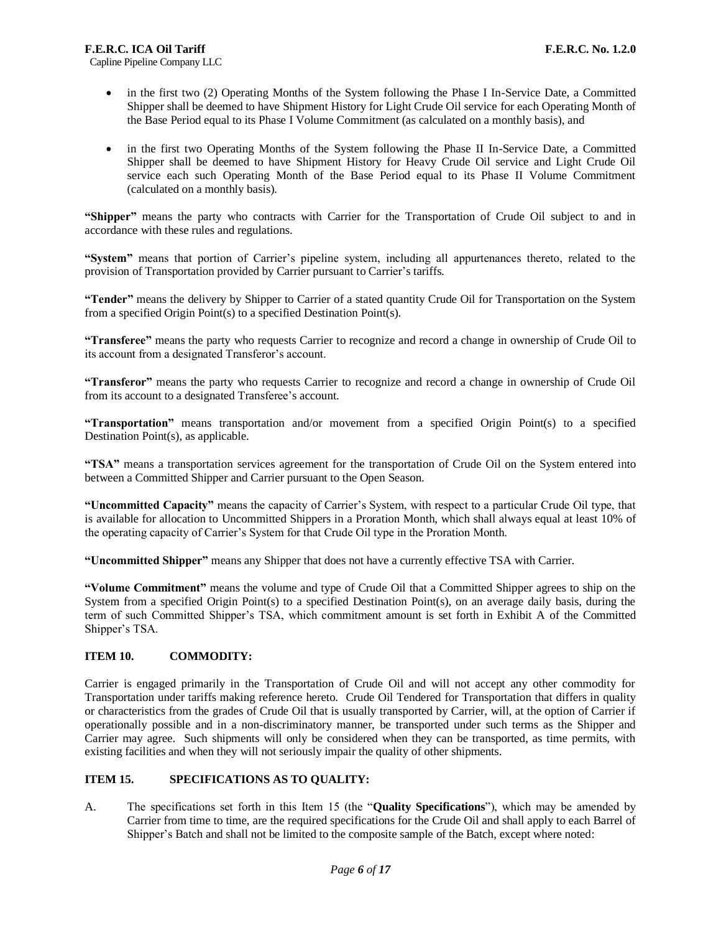Capline Pipeline Company LLC

- in the first two (2) Operating Months of the System following the Phase I In-Service Date, a Committed Shipper shall be deemed to have Shipment History for Light Crude Oil service for each Operating Month of the Base Period equal to its Phase I Volume Commitment (as calculated on a monthly basis), and
- in the first two Operating Months of the System following the Phase II In-Service Date, a Committed Shipper shall be deemed to have Shipment History for Heavy Crude Oil service and Light Crude Oil service each such Operating Month of the Base Period equal to its Phase II Volume Commitment (calculated on a monthly basis).

**"Shipper"** means the party who contracts with Carrier for the Transportation of Crude Oil subject to and in accordance with these rules and regulations.

**"System"** means that portion of Carrier's pipeline system, including all appurtenances thereto, related to the provision of Transportation provided by Carrier pursuant to Carrier's tariffs.

**"Tender"** means the delivery by Shipper to Carrier of a stated quantity Crude Oil for Transportation on the System from a specified Origin Point(s) to a specified Destination Point(s).

**"Transferee"** means the party who requests Carrier to recognize and record a change in ownership of Crude Oil to its account from a designated Transferor's account.

**"Transferor"** means the party who requests Carrier to recognize and record a change in ownership of Crude Oil from its account to a designated Transferee's account.

**"Transportation"** means transportation and/or movement from a specified Origin Point(s) to a specified Destination Point(s), as applicable.

**"TSA"** means a transportation services agreement for the transportation of Crude Oil on the System entered into between a Committed Shipper and Carrier pursuant to the Open Season.

**"Uncommitted Capacity"** means the capacity of Carrier's System, with respect to a particular Crude Oil type, that is available for allocation to Uncommitted Shippers in a Proration Month, which shall always equal at least 10% of the operating capacity of Carrier's System for that Crude Oil type in the Proration Month.

**"Uncommitted Shipper"** means any Shipper that does not have a currently effective TSA with Carrier.

**"Volume Commitment"** means the volume and type of Crude Oil that a Committed Shipper agrees to ship on the System from a specified Origin Point(s) to a specified Destination Point(s), on an average daily basis, during the term of such Committed Shipper's TSA, which commitment amount is set forth in Exhibit A of the Committed Shipper's TSA.

#### **ITEM 10. COMMODITY:**

Carrier is engaged primarily in the Transportation of Crude Oil and will not accept any other commodity for Transportation under tariffs making reference hereto. Crude Oil Tendered for Transportation that differs in quality or characteristics from the grades of Crude Oil that is usually transported by Carrier, will, at the option of Carrier if operationally possible and in a non-discriminatory manner, be transported under such terms as the Shipper and Carrier may agree. Such shipments will only be considered when they can be transported, as time permits, with existing facilities and when they will not seriously impair the quality of other shipments.

#### **ITEM 15. SPECIFICATIONS AS TO QUALITY:**

A. The specifications set forth in this Item 15 (the "**Quality Specifications**"), which may be amended by Carrier from time to time, are the required specifications for the Crude Oil and shall apply to each Barrel of Shipper's Batch and shall not be limited to the composite sample of the Batch, except where noted: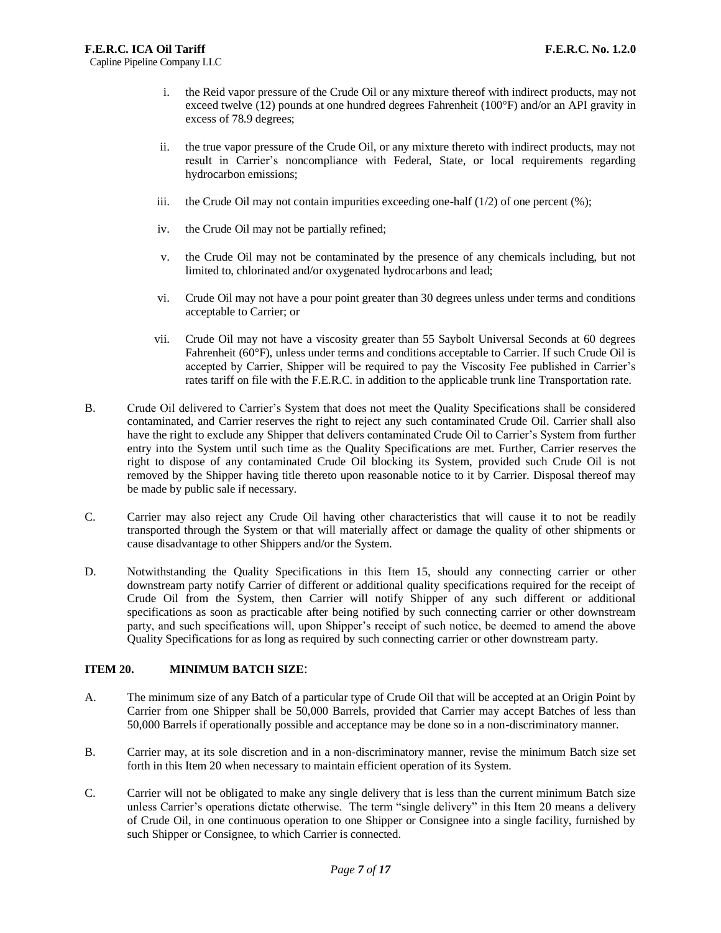- i. the Reid vapor pressure of the Crude Oil or any mixture thereof with indirect products, may not exceed twelve (12) pounds at one hundred degrees Fahrenheit (100°F) and/or an API gravity in excess of 78.9 degrees;
- ii. the true vapor pressure of the Crude Oil, or any mixture thereto with indirect products, may not result in Carrier's noncompliance with Federal, State, or local requirements regarding hydrocarbon emissions;
- iii. the Crude Oil may not contain impurities exceeding one-half  $(1/2)$  of one percent  $(\%)$ ;
- iv. the Crude Oil may not be partially refined;
- v. the Crude Oil may not be contaminated by the presence of any chemicals including, but not limited to, chlorinated and/or oxygenated hydrocarbons and lead;
- vi. Crude Oil may not have a pour point greater than 30 degrees unless under terms and conditions acceptable to Carrier; or
- vii. Crude Oil may not have a viscosity greater than 55 Saybolt Universal Seconds at 60 degrees Fahrenheit (60°F), unless under terms and conditions acceptable to Carrier. If such Crude Oil is accepted by Carrier, Shipper will be required to pay the Viscosity Fee published in Carrier's rates tariff on file with the F.E.R.C. in addition to the applicable trunk line Transportation rate.
- B. Crude Oil delivered to Carrier's System that does not meet the Quality Specifications shall be considered contaminated, and Carrier reserves the right to reject any such contaminated Crude Oil. Carrier shall also have the right to exclude any Shipper that delivers contaminated Crude Oil to Carrier's System from further entry into the System until such time as the Quality Specifications are met. Further, Carrier reserves the right to dispose of any contaminated Crude Oil blocking its System, provided such Crude Oil is not removed by the Shipper having title thereto upon reasonable notice to it by Carrier. Disposal thereof may be made by public sale if necessary.
- C. Carrier may also reject any Crude Oil having other characteristics that will cause it to not be readily transported through the System or that will materially affect or damage the quality of other shipments or cause disadvantage to other Shippers and/or the System.
- D. Notwithstanding the Quality Specifications in this Item 15, should any connecting carrier or other downstream party notify Carrier of different or additional quality specifications required for the receipt of Crude Oil from the System, then Carrier will notify Shipper of any such different or additional specifications as soon as practicable after being notified by such connecting carrier or other downstream party, and such specifications will, upon Shipper's receipt of such notice, be deemed to amend the above Quality Specifications for as long as required by such connecting carrier or other downstream party.

#### **ITEM 20. MINIMUM BATCH SIZE**:

- A. The minimum size of any Batch of a particular type of Crude Oil that will be accepted at an Origin Point by Carrier from one Shipper shall be 50,000 Barrels, provided that Carrier may accept Batches of less than 50,000 Barrels if operationally possible and acceptance may be done so in a non-discriminatory manner.
- B. Carrier may, at its sole discretion and in a non-discriminatory manner, revise the minimum Batch size set forth in this Item 20 when necessary to maintain efficient operation of its System.
- C. Carrier will not be obligated to make any single delivery that is less than the current minimum Batch size unless Carrier's operations dictate otherwise. The term "single delivery" in this Item 20 means a delivery of Crude Oil, in one continuous operation to one Shipper or Consignee into a single facility, furnished by such Shipper or Consignee, to which Carrier is connected.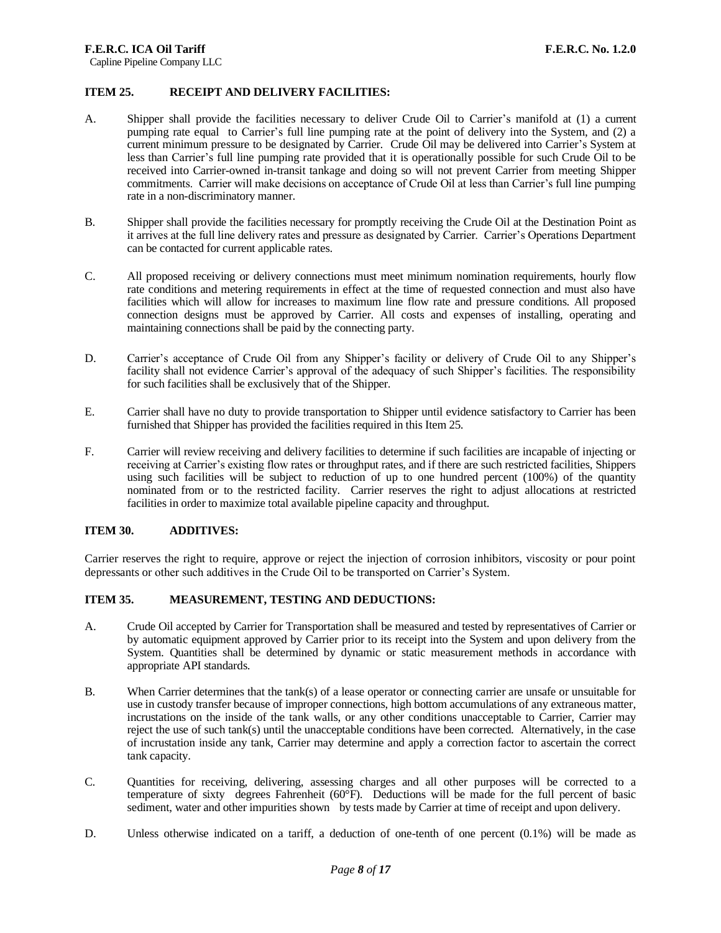Capline Pipeline Company LLC

#### **ITEM 25. RECEIPT AND DELIVERY FACILITIES:**

- A. Shipper shall provide the facilities necessary to deliver Crude Oil to Carrier's manifold at (1) a current pumping rate equal to Carrier's full line pumping rate at the point of delivery into the System, and (2) a current minimum pressure to be designated by Carrier. Crude Oil may be delivered into Carrier's System at less than Carrier's full line pumping rate provided that it is operationally possible for such Crude Oil to be received into Carrier-owned in-transit tankage and doing so will not prevent Carrier from meeting Shipper commitments. Carrier will make decisions on acceptance of Crude Oil at less than Carrier's full line pumping rate in a non-discriminatory manner.
- B. Shipper shall provide the facilities necessary for promptly receiving the Crude Oil at the Destination Point as it arrives at the full line delivery rates and pressure as designated by Carrier. Carrier's Operations Department can be contacted for current applicable rates.
- C. All proposed receiving or delivery connections must meet minimum nomination requirements, hourly flow rate conditions and metering requirements in effect at the time of requested connection and must also have facilities which will allow for increases to maximum line flow rate and pressure conditions. All proposed connection designs must be approved by Carrier. All costs and expenses of installing, operating and maintaining connections shall be paid by the connecting party.
- D. Carrier's acceptance of Crude Oil from any Shipper's facility or delivery of Crude Oil to any Shipper's facility shall not evidence Carrier's approval of the adequacy of such Shipper's facilities. The responsibility for such facilities shall be exclusively that of the Shipper.
- E. Carrier shall have no duty to provide transportation to Shipper until evidence satisfactory to Carrier has been furnished that Shipper has provided the facilities required in this Item 25.
- F. Carrier will review receiving and delivery facilities to determine if such facilities are incapable of injecting or receiving at Carrier's existing flow rates or throughput rates, and if there are such restricted facilities, Shippers using such facilities will be subject to reduction of up to one hundred percent (100%) of the quantity nominated from or to the restricted facility. Carrier reserves the right to adjust allocations at restricted facilities in order to maximize total available pipeline capacity and throughput.

#### **ITEM 30. ADDITIVES:**

Carrier reserves the right to require, approve or reject the injection of corrosion inhibitors, viscosity or pour point depressants or other such additives in the Crude Oil to be transported on Carrier's System.

#### **ITEM 35. MEASUREMENT, TESTING AND DEDUCTIONS:**

- A. Crude Oil accepted by Carrier for Transportation shall be measured and tested by representatives of Carrier or by automatic equipment approved by Carrier prior to its receipt into the System and upon delivery from the System. Quantities shall be determined by dynamic or static measurement methods in accordance with appropriate API standards.
- B. When Carrier determines that the tank(s) of a lease operator or connecting carrier are unsafe or unsuitable for use in custody transfer because of improper connections, high bottom accumulations of any extraneous matter, incrustations on the inside of the tank walls, or any other conditions unacceptable to Carrier, Carrier may reject the use of such tank(s) until the unacceptable conditions have been corrected. Alternatively, in the case of incrustation inside any tank, Carrier may determine and apply a correction factor to ascertain the correct tank capacity.
- C. Quantities for receiving, delivering, assessing charges and all other purposes will be corrected to a temperature of sixty degrees Fahrenheit (60°F). Deductions will be made for the full percent of basic sediment, water and other impurities shown by tests made by Carrier at time of receipt and upon delivery.
- D. Unless otherwise indicated on a tariff, a deduction of one-tenth of one percent (0.1%) will be made as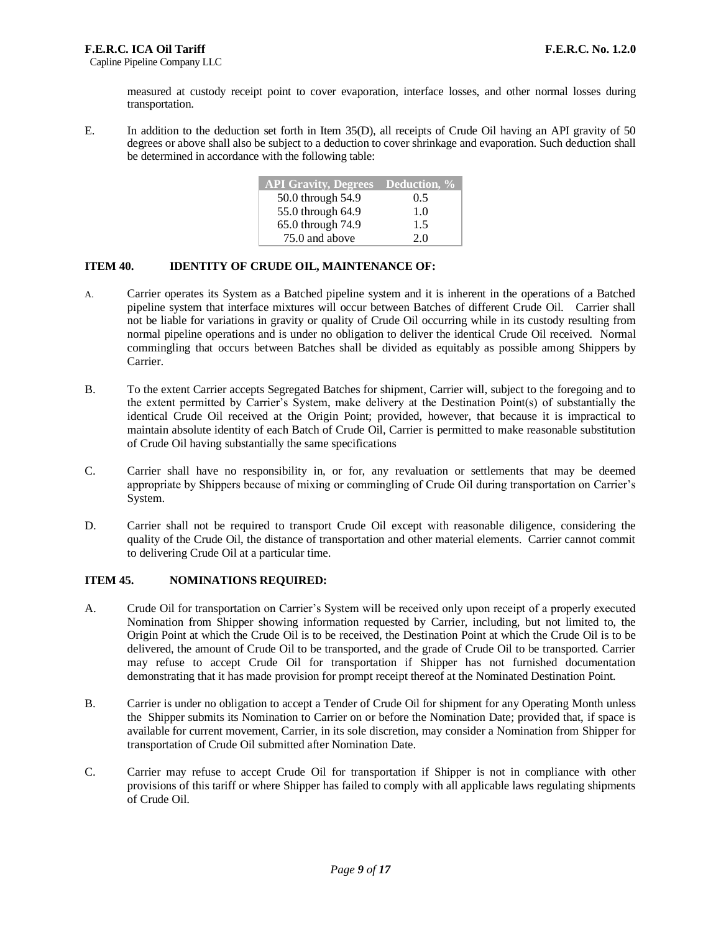measured at custody receipt point to cover evaporation, interface losses, and other normal losses during transportation.

E. In addition to the deduction set forth in Item 35(D), all receipts of Crude Oil having an API gravity of 50 degrees or above shall also be subject to a deduction to cover shrinkage and evaporation. Such deduction shall be determined in accordance with the following table:

| <b>API Gravity, Degrees</b> Deduction, % |     |
|------------------------------------------|-----|
| 50.0 through 54.9                        | 0.5 |
| 55.0 through 64.9                        | 1.0 |
| 65.0 through 74.9                        | 1.5 |
| 75.0 and above                           | 20  |

#### **ITEM 40. IDENTITY OF CRUDE OIL, MAINTENANCE OF:**

- A. Carrier operates its System as a Batched pipeline system and it is inherent in the operations of a Batched pipeline system that interface mixtures will occur between Batches of different Crude Oil. Carrier shall not be liable for variations in gravity or quality of Crude Oil occurring while in its custody resulting from normal pipeline operations and is under no obligation to deliver the identical Crude Oil received. Normal commingling that occurs between Batches shall be divided as equitably as possible among Shippers by Carrier.
- B. To the extent Carrier accepts Segregated Batches for shipment, Carrier will, subject to the foregoing and to the extent permitted by Carrier's System, make delivery at the Destination Point(s) of substantially the identical Crude Oil received at the Origin Point; provided, however, that because it is impractical to maintain absolute identity of each Batch of Crude Oil, Carrier is permitted to make reasonable substitution of Crude Oil having substantially the same specifications
- C. Carrier shall have no responsibility in, or for, any revaluation or settlements that may be deemed appropriate by Shippers because of mixing or commingling of Crude Oil during transportation on Carrier's System.
- D. Carrier shall not be required to transport Crude Oil except with reasonable diligence, considering the quality of the Crude Oil, the distance of transportation and other material elements. Carrier cannot commit to delivering Crude Oil at a particular time.

#### **ITEM 45. NOMINATIONS REQUIRED:**

- A. Crude Oil for transportation on Carrier's System will be received only upon receipt of a properly executed Nomination from Shipper showing information requested by Carrier, including, but not limited to, the Origin Point at which the Crude Oil is to be received, the Destination Point at which the Crude Oil is to be delivered, the amount of Crude Oil to be transported, and the grade of Crude Oil to be transported. Carrier may refuse to accept Crude Oil for transportation if Shipper has not furnished documentation demonstrating that it has made provision for prompt receipt thereof at the Nominated Destination Point.
- B. Carrier is under no obligation to accept a Tender of Crude Oil for shipment for any Operating Month unless the Shipper submits its Nomination to Carrier on or before the Nomination Date; provided that, if space is available for current movement, Carrier, in its sole discretion, may consider a Nomination from Shipper for transportation of Crude Oil submitted after Nomination Date.
- C. Carrier may refuse to accept Crude Oil for transportation if Shipper is not in compliance with other provisions of this tariff or where Shipper has failed to comply with all applicable laws regulating shipments of Crude Oil.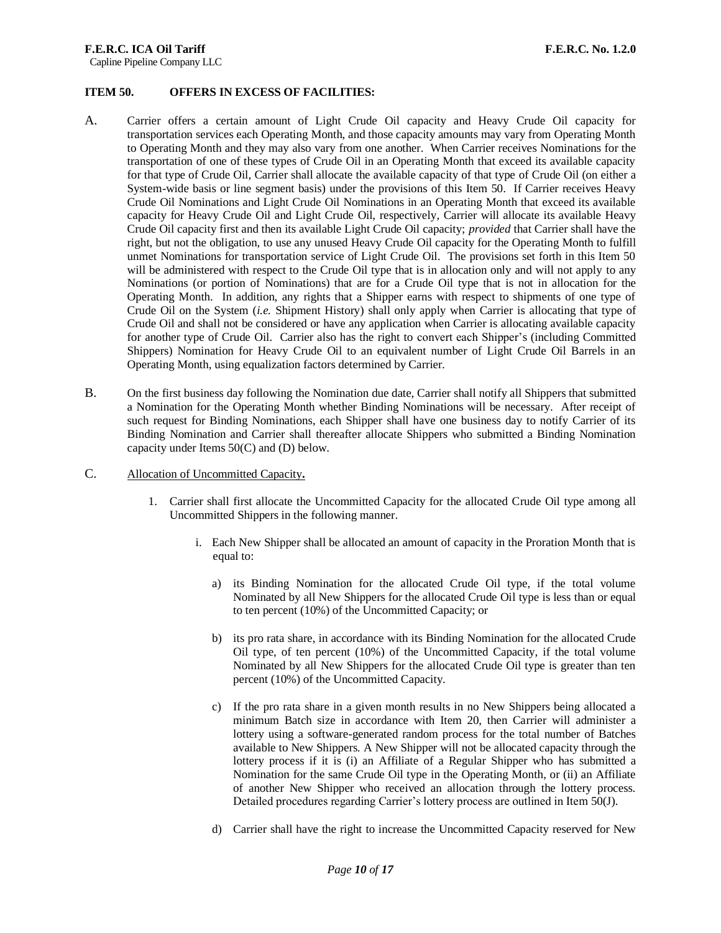#### **ITEM 50. OFFERS IN EXCESS OF FACILITIES:**

- A. Carrier offers a certain amount of Light Crude Oil capacity and Heavy Crude Oil capacity for transportation services each Operating Month, and those capacity amounts may vary from Operating Month to Operating Month and they may also vary from one another. When Carrier receives Nominations for the transportation of one of these types of Crude Oil in an Operating Month that exceed its available capacity for that type of Crude Oil, Carrier shall allocate the available capacity of that type of Crude Oil (on either a System-wide basis or line segment basis) under the provisions of this Item 50. If Carrier receives Heavy Crude Oil Nominations and Light Crude Oil Nominations in an Operating Month that exceed its available capacity for Heavy Crude Oil and Light Crude Oil, respectively, Carrier will allocate its available Heavy Crude Oil capacity first and then its available Light Crude Oil capacity; *provided* that Carrier shall have the right, but not the obligation, to use any unused Heavy Crude Oil capacity for the Operating Month to fulfill unmet Nominations for transportation service of Light Crude Oil. The provisions set forth in this Item 50 will be administered with respect to the Crude Oil type that is in allocation only and will not apply to any Nominations (or portion of Nominations) that are for a Crude Oil type that is not in allocation for the Operating Month. In addition, any rights that a Shipper earns with respect to shipments of one type of Crude Oil on the System (*i.e.* Shipment History) shall only apply when Carrier is allocating that type of Crude Oil and shall not be considered or have any application when Carrier is allocating available capacity for another type of Crude Oil. Carrier also has the right to convert each Shipper's (including Committed Shippers) Nomination for Heavy Crude Oil to an equivalent number of Light Crude Oil Barrels in an Operating Month, using equalization factors determined by Carrier.
- B. On the first business day following the Nomination due date, Carrier shall notify all Shippers that submitted a Nomination for the Operating Month whether Binding Nominations will be necessary. After receipt of such request for Binding Nominations, each Shipper shall have one business day to notify Carrier of its Binding Nomination and Carrier shall thereafter allocate Shippers who submitted a Binding Nomination capacity under Items 50(C) and (D) below.
- C. Allocation of Uncommitted Capacity**.**
	- 1. Carrier shall first allocate the Uncommitted Capacity for the allocated Crude Oil type among all Uncommitted Shippers in the following manner.
		- i. Each New Shipper shall be allocated an amount of capacity in the Proration Month that is equal to:
			- a) its Binding Nomination for the allocated Crude Oil type, if the total volume Nominated by all New Shippers for the allocated Crude Oil type is less than or equal to ten percent (10%) of the Uncommitted Capacity; or
			- b) its pro rata share, in accordance with its Binding Nomination for the allocated Crude Oil type, of ten percent (10%) of the Uncommitted Capacity, if the total volume Nominated by all New Shippers for the allocated Crude Oil type is greater than ten percent (10%) of the Uncommitted Capacity.
			- c) If the pro rata share in a given month results in no New Shippers being allocated a minimum Batch size in accordance with Item 20, then Carrier will administer a lottery using a software-generated random process for the total number of Batches available to New Shippers. A New Shipper will not be allocated capacity through the lottery process if it is (i) an Affiliate of a Regular Shipper who has submitted a Nomination for the same Crude Oil type in the Operating Month, or (ii) an Affiliate of another New Shipper who received an allocation through the lottery process. Detailed procedures regarding Carrier's lottery process are outlined in Item 50(J).
			- d) Carrier shall have the right to increase the Uncommitted Capacity reserved for New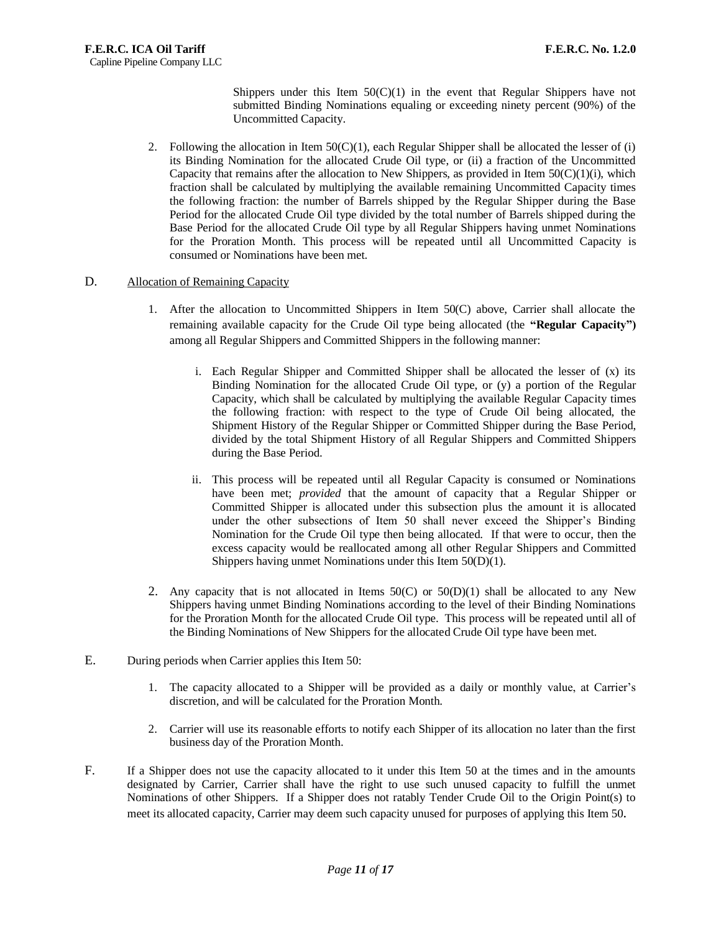Shippers under this Item  $50(C)(1)$  in the event that Regular Shippers have not submitted Binding Nominations equaling or exceeding ninety percent (90%) of the Uncommitted Capacity.

2. Following the allocation in Item 50(C)(1), each Regular Shipper shall be allocated the lesser of (i) its Binding Nomination for the allocated Crude Oil type, or (ii) a fraction of the Uncommitted Capacity that remains after the allocation to New Shippers, as provided in Item  $50(C)(1)(i)$ , which fraction shall be calculated by multiplying the available remaining Uncommitted Capacity times the following fraction: the number of Barrels shipped by the Regular Shipper during the Base Period for the allocated Crude Oil type divided by the total number of Barrels shipped during the Base Period for the allocated Crude Oil type by all Regular Shippers having unmet Nominations for the Proration Month. This process will be repeated until all Uncommitted Capacity is consumed or Nominations have been met.

#### D. Allocation of Remaining Capacity

- 1. After the allocation to Uncommitted Shippers in Item 50(C) above, Carrier shall allocate the remaining available capacity for the Crude Oil type being allocated (the **"Regular Capacity")**  among all Regular Shippers and Committed Shippers in the following manner:
	- i. Each Regular Shipper and Committed Shipper shall be allocated the lesser of  $(x)$  its Binding Nomination for the allocated Crude Oil type, or (y) a portion of the Regular Capacity, which shall be calculated by multiplying the available Regular Capacity times the following fraction: with respect to the type of Crude Oil being allocated, the Shipment History of the Regular Shipper or Committed Shipper during the Base Period, divided by the total Shipment History of all Regular Shippers and Committed Shippers during the Base Period.
	- ii. This process will be repeated until all Regular Capacity is consumed or Nominations have been met; *provided* that the amount of capacity that a Regular Shipper or Committed Shipper is allocated under this subsection plus the amount it is allocated under the other subsections of Item 50 shall never exceed the Shipper's Binding Nomination for the Crude Oil type then being allocated. If that were to occur, then the excess capacity would be reallocated among all other Regular Shippers and Committed Shippers having unmet Nominations under this Item 50(D)(1).
- 2. Any capacity that is not allocated in Items  $50(C)$  or  $50(D)(1)$  shall be allocated to any New Shippers having unmet Binding Nominations according to the level of their Binding Nominations for the Proration Month for the allocated Crude Oil type. This process will be repeated until all of the Binding Nominations of New Shippers for the allocated Crude Oil type have been met.
- E. During periods when Carrier applies this Item 50:
	- 1. The capacity allocated to a Shipper will be provided as a daily or monthly value, at Carrier's discretion, and will be calculated for the Proration Month.
	- 2. Carrier will use its reasonable efforts to notify each Shipper of its allocation no later than the first business day of the Proration Month.
- F. If a Shipper does not use the capacity allocated to it under this Item 50 at the times and in the amounts designated by Carrier, Carrier shall have the right to use such unused capacity to fulfill the unmet Nominations of other Shippers. If a Shipper does not ratably Tender Crude Oil to the Origin Point(s) to meet its allocated capacity, Carrier may deem such capacity unused for purposes of applying this Item 50*.*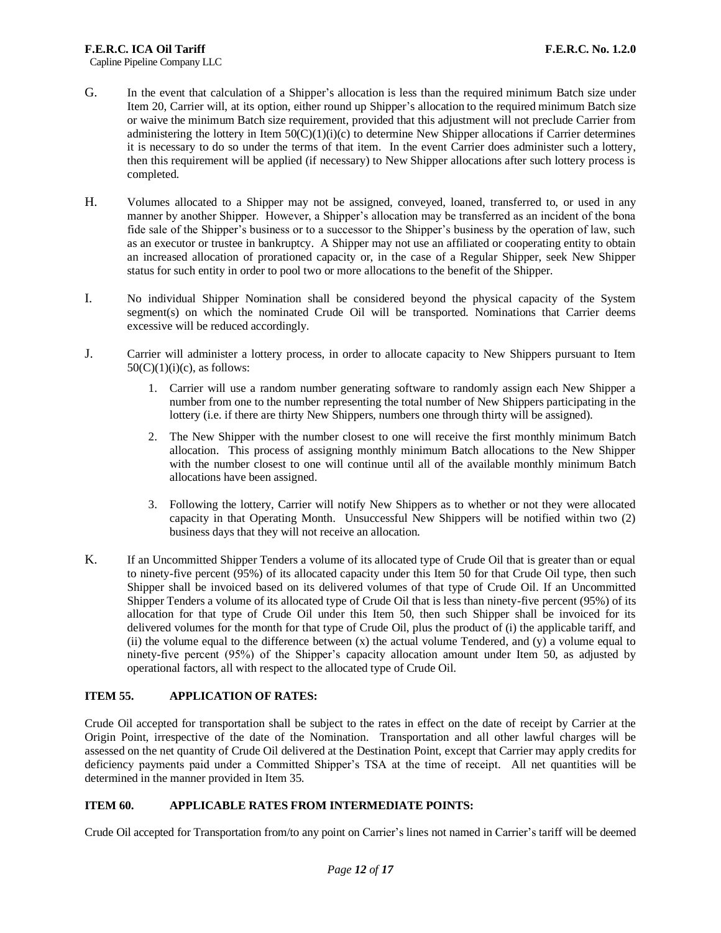Capline Pipeline Company LLC

- G. In the event that calculation of a Shipper's allocation is less than the required minimum Batch size under Item 20, Carrier will, at its option, either round up Shipper's allocation to the required minimum Batch size or waive the minimum Batch size requirement, provided that this adjustment will not preclude Carrier from administering the lottery in Item  $50(C)(1)(i)(c)$  to determine New Shipper allocations if Carrier determines it is necessary to do so under the terms of that item. In the event Carrier does administer such a lottery, then this requirement will be applied (if necessary) to New Shipper allocations after such lottery process is completed.
- H. Volumes allocated to a Shipper may not be assigned, conveyed, loaned, transferred to, or used in any manner by another Shipper. However, a Shipper's allocation may be transferred as an incident of the bona fide sale of the Shipper's business or to a successor to the Shipper's business by the operation of law, such as an executor or trustee in bankruptcy. A Shipper may not use an affiliated or cooperating entity to obtain an increased allocation of prorationed capacity or, in the case of a Regular Shipper, seek New Shipper status for such entity in order to pool two or more allocations to the benefit of the Shipper.
- I. No individual Shipper Nomination shall be considered beyond the physical capacity of the System segment(s) on which the nominated Crude Oil will be transported. Nominations that Carrier deems excessive will be reduced accordingly.
- J. Carrier will administer a lottery process, in order to allocate capacity to New Shippers pursuant to Item  $50(C)(1)(i)(c)$ , as follows:
	- 1. Carrier will use a random number generating software to randomly assign each New Shipper a number from one to the number representing the total number of New Shippers participating in the lottery (i.e. if there are thirty New Shippers, numbers one through thirty will be assigned).
	- 2. The New Shipper with the number closest to one will receive the first monthly minimum Batch allocation. This process of assigning monthly minimum Batch allocations to the New Shipper with the number closest to one will continue until all of the available monthly minimum Batch allocations have been assigned.
	- 3. Following the lottery, Carrier will notify New Shippers as to whether or not they were allocated capacity in that Operating Month. Unsuccessful New Shippers will be notified within two (2) business days that they will not receive an allocation.
- K. If an Uncommitted Shipper Tenders a volume of its allocated type of Crude Oil that is greater than or equal to ninety-five percent (95%) of its allocated capacity under this Item 50 for that Crude Oil type, then such Shipper shall be invoiced based on its delivered volumes of that type of Crude Oil. If an Uncommitted Shipper Tenders a volume of its allocated type of Crude Oil that is less than ninety-five percent (95%) of its allocation for that type of Crude Oil under this Item 50, then such Shipper shall be invoiced for its delivered volumes for the month for that type of Crude Oil, plus the product of (i) the applicable tariff, and (ii) the volume equal to the difference between  $(x)$  the actual volume Tendered, and  $(y)$  a volume equal to ninety-five percent (95%) of the Shipper's capacity allocation amount under Item 50, as adjusted by operational factors, all with respect to the allocated type of Crude Oil.

# **ITEM 55. APPLICATION OF RATES:**

Crude Oil accepted for transportation shall be subject to the rates in effect on the date of receipt by Carrier at the Origin Point, irrespective of the date of the Nomination. Transportation and all other lawful charges will be assessed on the net quantity of Crude Oil delivered at the Destination Point, except that Carrier may apply credits for deficiency payments paid under a Committed Shipper's TSA at the time of receipt. All net quantities will be determined in the manner provided in Item 35.

# **ITEM 60. APPLICABLE RATES FROM INTERMEDIATE POINTS:**

Crude Oil accepted for Transportation from/to any point on Carrier's lines not named in Carrier's tariff will be deemed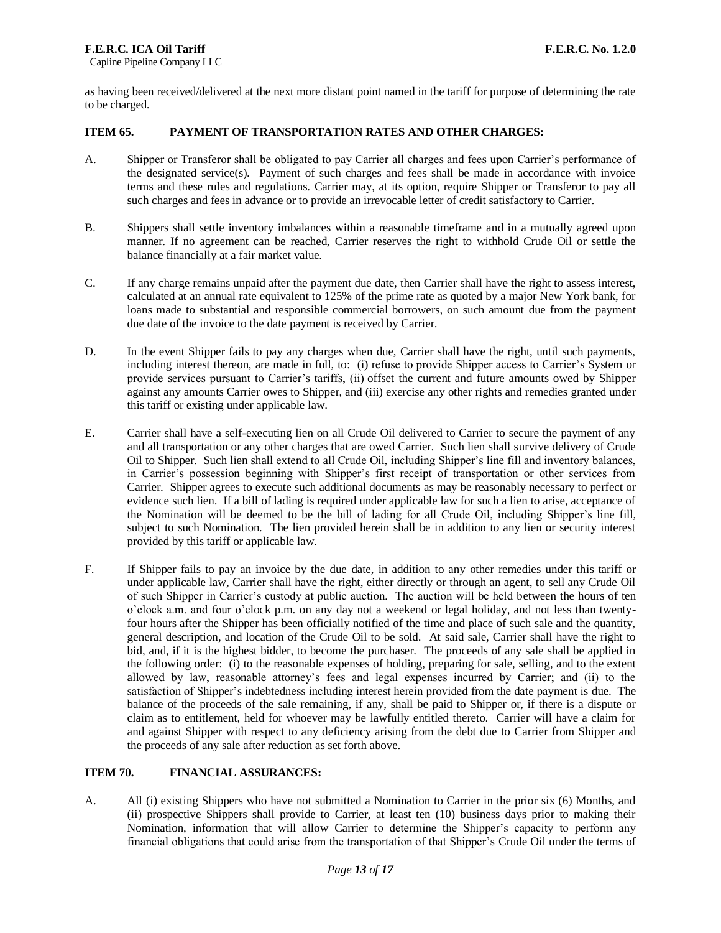as having been received/delivered at the next more distant point named in the tariff for purpose of determining the rate to be charged.

#### **ITEM 65. PAYMENT OF TRANSPORTATION RATES AND OTHER CHARGES:**

- A. Shipper or Transferor shall be obligated to pay Carrier all charges and fees upon Carrier's performance of the designated service(s). Payment of such charges and fees shall be made in accordance with invoice terms and these rules and regulations. Carrier may, at its option, require Shipper or Transferor to pay all such charges and fees in advance or to provide an irrevocable letter of credit satisfactory to Carrier.
- B. Shippers shall settle inventory imbalances within a reasonable timeframe and in a mutually agreed upon manner. If no agreement can be reached, Carrier reserves the right to withhold Crude Oil or settle the balance financially at a fair market value.
- C. If any charge remains unpaid after the payment due date, then Carrier shall have the right to assess interest, calculated at an annual rate equivalent to 125% of the prime rate as quoted by a major New York bank, for loans made to substantial and responsible commercial borrowers, on such amount due from the payment due date of the invoice to the date payment is received by Carrier.
- D. In the event Shipper fails to pay any charges when due, Carrier shall have the right, until such payments, including interest thereon, are made in full, to: (i) refuse to provide Shipper access to Carrier's System or provide services pursuant to Carrier's tariffs, (ii) offset the current and future amounts owed by Shipper against any amounts Carrier owes to Shipper, and (iii) exercise any other rights and remedies granted under this tariff or existing under applicable law.
- E. Carrier shall have a self-executing lien on all Crude Oil delivered to Carrier to secure the payment of any and all transportation or any other charges that are owed Carrier. Such lien shall survive delivery of Crude Oil to Shipper. Such lien shall extend to all Crude Oil, including Shipper's line fill and inventory balances, in Carrier's possession beginning with Shipper's first receipt of transportation or other services from Carrier. Shipper agrees to execute such additional documents as may be reasonably necessary to perfect or evidence such lien. If a bill of lading is required under applicable law for such a lien to arise, acceptance of the Nomination will be deemed to be the bill of lading for all Crude Oil, including Shipper's line fill, subject to such Nomination. The lien provided herein shall be in addition to any lien or security interest provided by this tariff or applicable law.
- F. If Shipper fails to pay an invoice by the due date, in addition to any other remedies under this tariff or under applicable law, Carrier shall have the right, either directly or through an agent, to sell any Crude Oil of such Shipper in Carrier's custody at public auction. The auction will be held between the hours of ten o'clock a.m. and four o'clock p.m. on any day not a weekend or legal holiday, and not less than twentyfour hours after the Shipper has been officially notified of the time and place of such sale and the quantity, general description, and location of the Crude Oil to be sold. At said sale, Carrier shall have the right to bid, and, if it is the highest bidder, to become the purchaser. The proceeds of any sale shall be applied in the following order: (i) to the reasonable expenses of holding, preparing for sale, selling, and to the extent allowed by law, reasonable attorney's fees and legal expenses incurred by Carrier; and (ii) to the satisfaction of Shipper's indebtedness including interest herein provided from the date payment is due. The balance of the proceeds of the sale remaining, if any, shall be paid to Shipper or, if there is a dispute or claim as to entitlement, held for whoever may be lawfully entitled thereto. Carrier will have a claim for and against Shipper with respect to any deficiency arising from the debt due to Carrier from Shipper and the proceeds of any sale after reduction as set forth above.

#### **ITEM 70. FINANCIAL ASSURANCES:**

A. All (i) existing Shippers who have not submitted a Nomination to Carrier in the prior six (6) Months, and (ii) prospective Shippers shall provide to Carrier, at least ten (10) business days prior to making their Nomination, information that will allow Carrier to determine the Shipper's capacity to perform any financial obligations that could arise from the transportation of that Shipper's Crude Oil under the terms of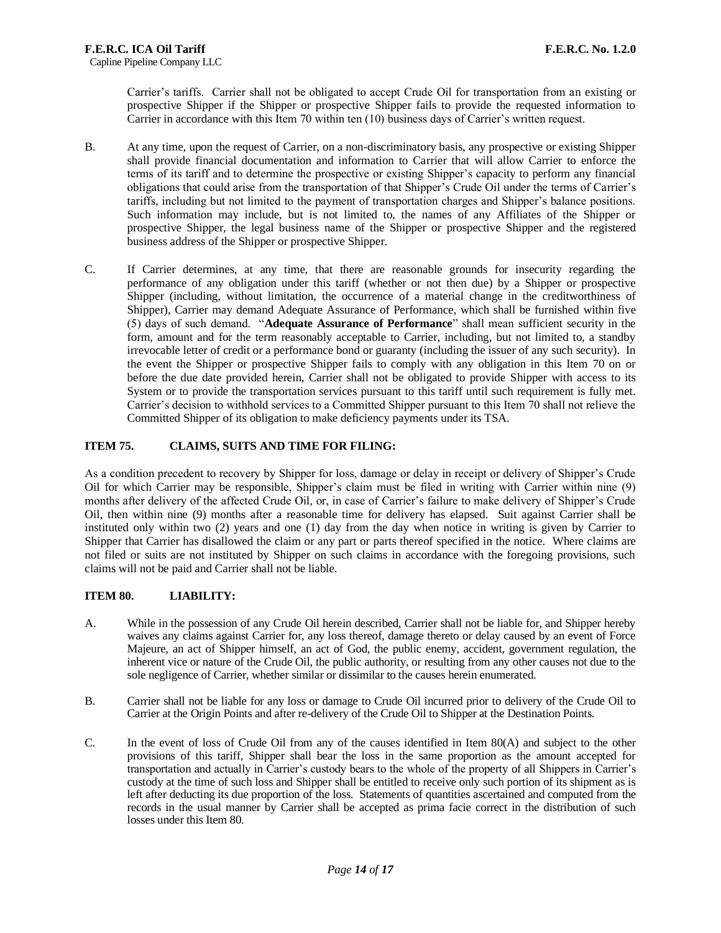Carrier's tariffs. Carrier shall not be obligated to accept Crude Oil for transportation from an existing or prospective Shipper if the Shipper or prospective Shipper fails to provide the requested information to Carrier in accordance with this Item 70 within ten (10) business days of Carrier's written request.

- B. At any time, upon the request of Carrier, on a non-discriminatory basis, any prospective or existing Shipper shall provide financial documentation and information to Carrier that will allow Carrier to enforce the terms of its tariff and to determine the prospective or existing Shipper's capacity to perform any financial obligations that could arise from the transportation of that Shipper's Crude Oil under the terms of Carrier's tariffs, including but not limited to the payment of transportation charges and Shipper's balance positions. Such information may include, but is not limited to, the names of any Affiliates of the Shipper or prospective Shipper, the legal business name of the Shipper or prospective Shipper and the registered business address of the Shipper or prospective Shipper.
- C. If Carrier determines, at any time, that there are reasonable grounds for insecurity regarding the performance of any obligation under this tariff (whether or not then due) by a Shipper or prospective Shipper (including, without limitation, the occurrence of a material change in the creditworthiness of Shipper), Carrier may demand Adequate Assurance of Performance, which shall be furnished within five (5) days of such demand. "**Adequate Assurance of Performance**" shall mean sufficient security in the form, amount and for the term reasonably acceptable to Carrier, including, but not limited to, a standby irrevocable letter of credit or a performance bond or guaranty (including the issuer of any such security). In the event the Shipper or prospective Shipper fails to comply with any obligation in this Item 70 on or before the due date provided herein, Carrier shall not be obligated to provide Shipper with access to its System or to provide the transportation services pursuant to this tariff until such requirement is fully met. Carrier's decision to withhold services to a Committed Shipper pursuant to this Item 70 shall not relieve the Committed Shipper of its obligation to make deficiency payments under its TSA.

#### **ITEM 75. CLAIMS, SUITS AND TIME FOR FILING:**

As a condition precedent to recovery by Shipper for loss, damage or delay in receipt or delivery of Shipper's Crude Oil for which Carrier may be responsible, Shipper's claim must be filed in writing with Carrier within nine (9) months after delivery of the affected Crude Oil, or, in case of Carrier's failure to make delivery of Shipper's Crude Oil, then within nine (9) months after a reasonable time for delivery has elapsed. Suit against Carrier shall be instituted only within two (2) years and one (1) day from the day when notice in writing is given by Carrier to Shipper that Carrier has disallowed the claim or any part or parts thereof specified in the notice. Where claims are not filed or suits are not instituted by Shipper on such claims in accordance with the foregoing provisions, such claims will not be paid and Carrier shall not be liable.

## **ITEM 80. LIABILITY:**

- A. While in the possession of any Crude Oil herein described, Carrier shall not be liable for, and Shipper hereby waives any claims against Carrier for, any loss thereof, damage thereto or delay caused by an event of Force Majeure, an act of Shipper himself, an act of God, the public enemy, accident, government regulation, the inherent vice or nature of the Crude Oil, the public authority, or resulting from any other causes not due to the sole negligence of Carrier, whether similar or dissimilar to the causes herein enumerated.
- B. Carrier shall not be liable for any loss or damage to Crude Oil incurred prior to delivery of the Crude Oil to Carrier at the Origin Points and after re-delivery of the Crude Oil to Shipper at the Destination Points.
- C. In the event of loss of Crude Oil from any of the causes identified in Item 80(A) and subject to the other provisions of this tariff, Shipper shall bear the loss in the same proportion as the amount accepted for transportation and actually in Carrier's custody bears to the whole of the property of all Shippers in Carrier's custody at the time of such loss and Shipper shall be entitled to receive only such portion of its shipment as is left after deducting its due proportion of the loss. Statements of quantities ascertained and computed from the records in the usual manner by Carrier shall be accepted as prima facie correct in the distribution of such losses under this Item 80.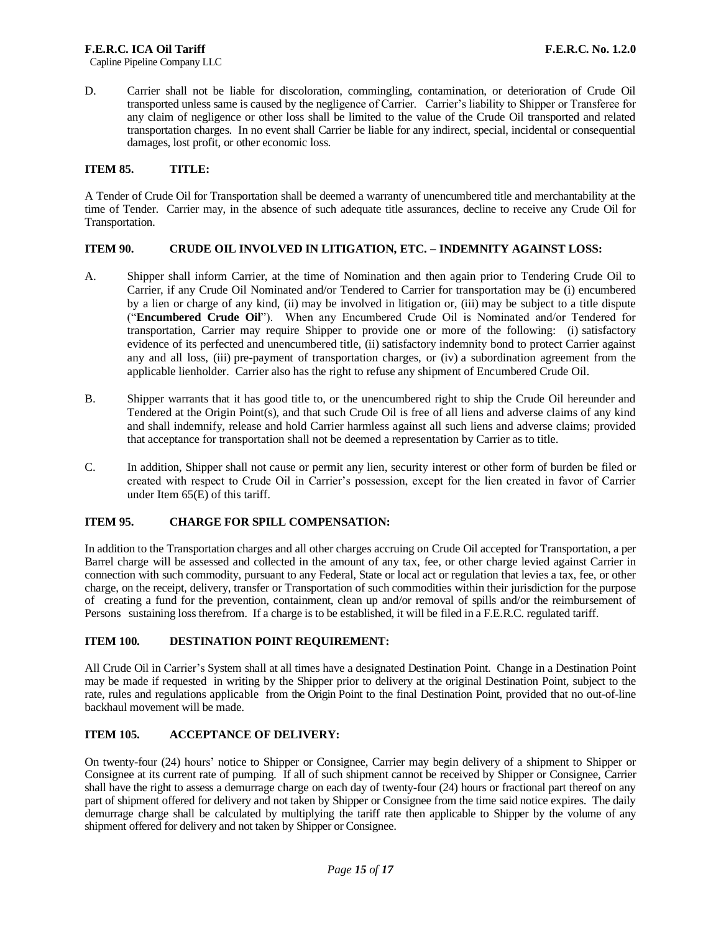D. Carrier shall not be liable for discoloration, commingling, contamination, or deterioration of Crude Oil transported unless same is caused by the negligence of Carrier. Carrier's liability to Shipper or Transferee for any claim of negligence or other loss shall be limited to the value of the Crude Oil transported and related transportation charges. In no event shall Carrier be liable for any indirect, special, incidental or consequential damages, lost profit, or other economic loss.

#### **ITEM 85. TITLE:**

A Tender of Crude Oil for Transportation shall be deemed a warranty of unencumbered title and merchantability at the time of Tender. Carrier may, in the absence of such adequate title assurances, decline to receive any Crude Oil for Transportation.

## **ITEM 90. CRUDE OIL INVOLVED IN LITIGATION, ETC. – INDEMNITY AGAINST LOSS:**

- A. Shipper shall inform Carrier, at the time of Nomination and then again prior to Tendering Crude Oil to Carrier, if any Crude Oil Nominated and/or Tendered to Carrier for transportation may be (i) encumbered by a lien or charge of any kind, (ii) may be involved in litigation or, (iii) may be subject to a title dispute ("**Encumbered Crude Oil**"). When any Encumbered Crude Oil is Nominated and/or Tendered for transportation, Carrier may require Shipper to provide one or more of the following: (i) satisfactory evidence of its perfected and unencumbered title, (ii) satisfactory indemnity bond to protect Carrier against any and all loss, (iii) pre-payment of transportation charges, or (iv) a subordination agreement from the applicable lienholder. Carrier also has the right to refuse any shipment of Encumbered Crude Oil.
- B. Shipper warrants that it has good title to, or the unencumbered right to ship the Crude Oil hereunder and Tendered at the Origin Point(s), and that such Crude Oil is free of all liens and adverse claims of any kind and shall indemnify, release and hold Carrier harmless against all such liens and adverse claims; provided that acceptance for transportation shall not be deemed a representation by Carrier as to title.
- C. In addition, Shipper shall not cause or permit any lien, security interest or other form of burden be filed or created with respect to Crude Oil in Carrier's possession, except for the lien created in favor of Carrier under Item 65(E) of this tariff.

# **ITEM 95. CHARGE FOR SPILL COMPENSATION:**

In addition to the Transportation charges and all other charges accruing on Crude Oil accepted for Transportation, a per Barrel charge will be assessed and collected in the amount of any tax, fee, or other charge levied against Carrier in connection with such commodity, pursuant to any Federal, State or local act or regulation that levies a tax, fee, or other charge, on the receipt, delivery, transfer or Transportation of such commodities within their jurisdiction for the purpose of creating a fund for the prevention, containment, clean up and/or removal of spills and/or the reimbursement of Persons sustaining loss therefrom. If a charge is to be established, it will be filed in a F.E.R.C. regulated tariff.

# **ITEM 100. DESTINATION POINT REQUIREMENT:**

All Crude Oil in Carrier's System shall at all times have a designated Destination Point. Change in a Destination Point may be made if requested in writing by the Shipper prior to delivery at the original Destination Point, subject to the rate, rules and regulations applicable from the Origin Point to the final Destination Point, provided that no out-of-line backhaul movement will be made.

# **ITEM 105. ACCEPTANCE OF DELIVERY:**

On twenty-four (24) hours' notice to Shipper or Consignee, Carrier may begin delivery of a shipment to Shipper or Consignee at its current rate of pumping. If all of such shipment cannot be received by Shipper or Consignee, Carrier shall have the right to assess a demurrage charge on each day of twenty-four (24) hours or fractional part thereof on any part of shipment offered for delivery and not taken by Shipper or Consignee from the time said notice expires. The daily demurrage charge shall be calculated by multiplying the tariff rate then applicable to Shipper by the volume of any shipment offered for delivery and not taken by Shipper or Consignee.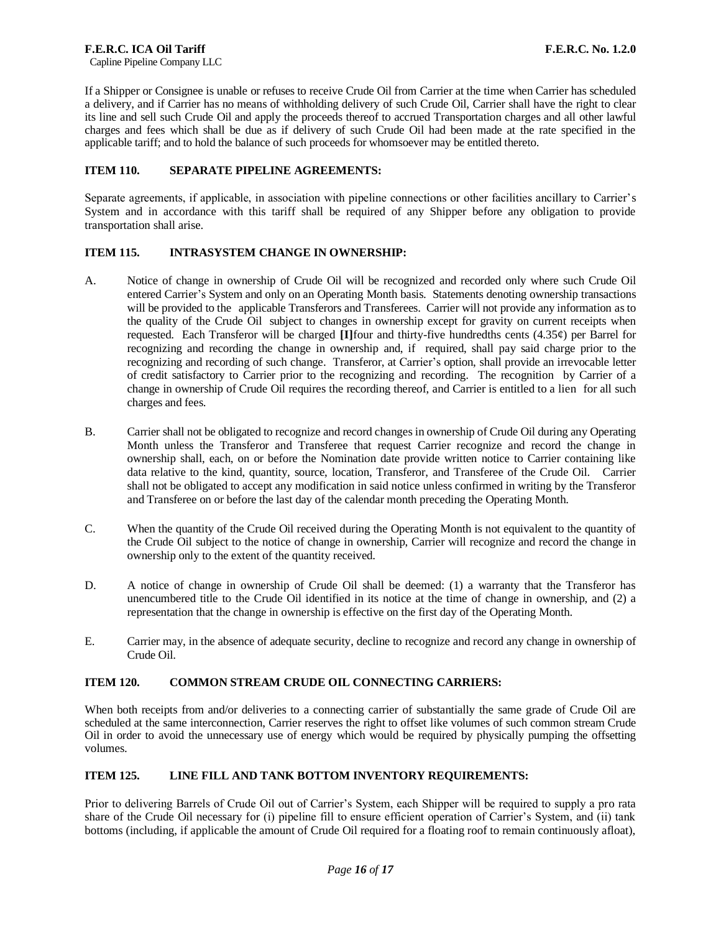If a Shipper or Consignee is unable or refuses to receive Crude Oil from Carrier at the time when Carrier has scheduled a delivery, and if Carrier has no means of withholding delivery of such Crude Oil, Carrier shall have the right to clear its line and sell such Crude Oil and apply the proceeds thereof to accrued Transportation charges and all other lawful charges and fees which shall be due as if delivery of such Crude Oil had been made at the rate specified in the applicable tariff; and to hold the balance of such proceeds for whomsoever may be entitled thereto.

#### **ITEM 110. SEPARATE PIPELINE AGREEMENTS:**

Separate agreements, if applicable, in association with pipeline connections or other facilities ancillary to Carrier's System and in accordance with this tariff shall be required of any Shipper before any obligation to provide transportation shall arise.

# **ITEM 115. INTRASYSTEM CHANGE IN OWNERSHIP:**

- A. Notice of change in ownership of Crude Oil will be recognized and recorded only where such Crude Oil entered Carrier's System and only on an Operating Month basis. Statements denoting ownership transactions will be provided to the applicable Transferors and Transferees. Carrier will not provide any information as to the quality of the Crude Oil subject to changes in ownership except for gravity on current receipts when requested. Each Transferor will be charged **[I]**four and thirty-five hundredths cents (4.35¢) per Barrel for recognizing and recording the change in ownership and, if required, shall pay said charge prior to the recognizing and recording of such change. Transferor, at Carrier's option, shall provide an irrevocable letter of credit satisfactory to Carrier prior to the recognizing and recording. The recognition by Carrier of a change in ownership of Crude Oil requires the recording thereof, and Carrier is entitled to a lien for all such charges and fees.
- B. Carrier shall not be obligated to recognize and record changes in ownership of Crude Oil during any Operating Month unless the Transferor and Transferee that request Carrier recognize and record the change in ownership shall, each, on or before the Nomination date provide written notice to Carrier containing like data relative to the kind, quantity, source, location, Transferor, and Transferee of the Crude Oil. Carrier shall not be obligated to accept any modification in said notice unless confirmed in writing by the Transferor and Transferee on or before the last day of the calendar month preceding the Operating Month.
- C. When the quantity of the Crude Oil received during the Operating Month is not equivalent to the quantity of the Crude Oil subject to the notice of change in ownership, Carrier will recognize and record the change in ownership only to the extent of the quantity received.
- D. A notice of change in ownership of Crude Oil shall be deemed: (1) a warranty that the Transferor has unencumbered title to the Crude Oil identified in its notice at the time of change in ownership, and (2) a representation that the change in ownership is effective on the first day of the Operating Month.
- E. Carrier may, in the absence of adequate security, decline to recognize and record any change in ownership of Crude Oil.

# **ITEM 120. COMMON STREAM CRUDE OIL CONNECTING CARRIERS:**

When both receipts from and/or deliveries to a connecting carrier of substantially the same grade of Crude Oil are scheduled at the same interconnection, Carrier reserves the right to offset like volumes of such common stream Crude Oil in order to avoid the unnecessary use of energy which would be required by physically pumping the offsetting volumes.

# **ITEM 125. LINE FILL AND TANK BOTTOM INVENTORY REQUIREMENTS:**

Prior to delivering Barrels of Crude Oil out of Carrier's System, each Shipper will be required to supply a pro rata share of the Crude Oil necessary for (i) pipeline fill to ensure efficient operation of Carrier's System, and (ii) tank bottoms (including, if applicable the amount of Crude Oil required for a floating roof to remain continuously afloat),